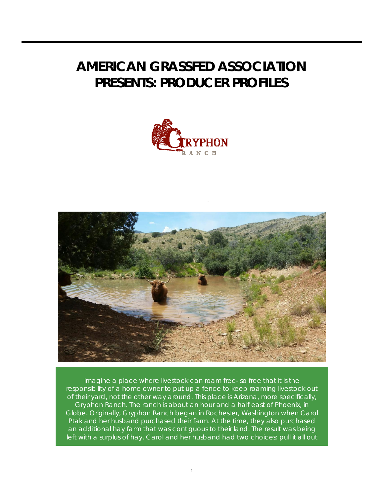## **AMERICAN GRASSFED ASSOCIATION PRESENTS: PRODUCER PROFILES**





Imagine a place where livestock can roam free- so free that it is the responsibility of a home owner to put up a fence to keep roaming livestock out of their yard, not the other way around. This place is Arizona, more specifically, Gryphon Ranch. The ranch is about an hour and a half east of Phoenix, in Globe. Originally, Gryphon Ranch began in Rochester, Washington when Carol Ptak and her husband purchased their farm. At the time, they also purchased an additional hay farm that was contiguous to their land. The result was being left with a surplus of hay. Carol and her husband had two choices: pull it all out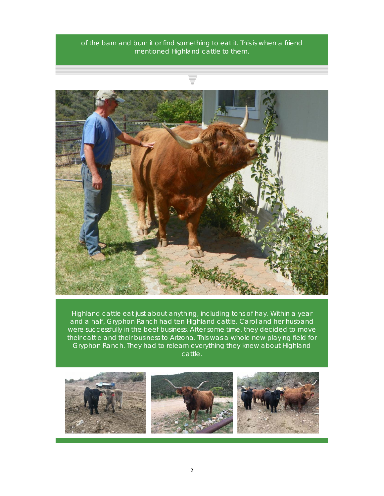of the barn and burn it or find something to eat it. This is when a friend mentioned Highland cattle to them.



Highland cattle eat just about anything, including tons of hay. Within a year and a half, Gryphon Ranch had ten Highland cattle. Carol and her husband were successfully in the beef business. After some time, they decided to move their cattle and their business to Arizona. This was a whole new playing field for Gryphon Ranch. They had to relearn everything they knew about Highland cattle.

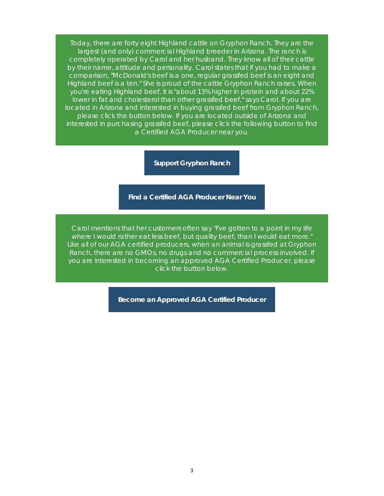Today, there are forty eight Highland cattle on Gryphon Ranch. They are the largest (and only) commercial Highland breeder in Arizona. The ranch is completely operated by Carol and her husband. They know all of their cattle by their name, attitude and personality. Carol states that if you had to make a comparison, "McDonald's beef is a one, regular grassfed beef is an eight and Highland beef is a ten." She is proud of the cattle Gryphon Ranch raises. When you're eating Highland beef, it is "about 13% higher in protein and about 22% lower in fat and cholesterol than other grassfed beef," says Carol. If you are located in Arizona and interested in buying grassfed beef from Gryphon Ranch, please click the button below. If you are located outside of Arizona and interested in purchasing grassfed beef, please click the following button to find a Certified AGA Producer near you.

**Support Gryphon Ranch**

**Find a Certified AGA Producer Near You**

Carol mentions that her customers often say "I've gotten to a point in my life where I would rather eat less beef, but quality beef, than I would eat more." Like all of our AGA certified producers, when an animal is grassfed at Gryphon Ranch, there are no GMOs, no drugs and no commercial process involved. If you are interested in becoming an approved AGA Certified Producer, please click the button below.

**Become an Approved AGA Certified Producer**